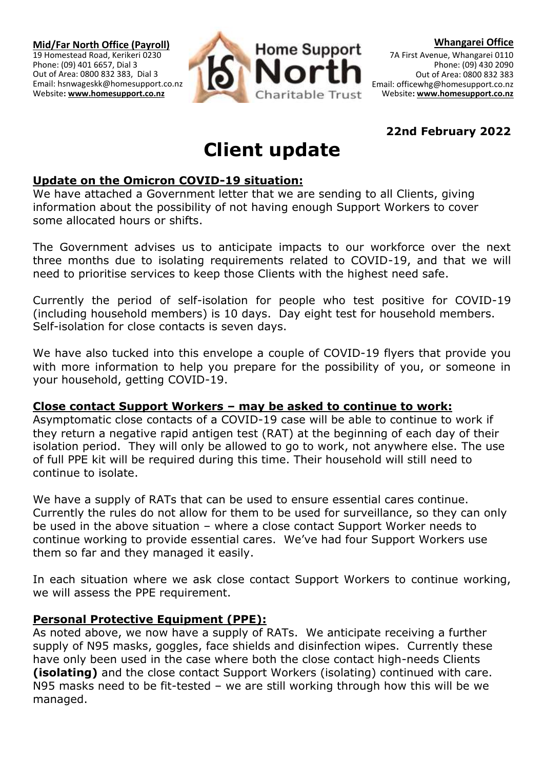

# **22nd February 2022**

# **Client update**

### **Update on the Omicron COVID-19 situation:**

We have attached a Government letter that we are sending to all Clients, giving information about the possibility of not having enough Support Workers to cover some allocated hours or shifts.

The Government advises us to anticipate impacts to our workforce over the next three months due to isolating requirements related to COVID-19, and that we will need to prioritise services to keep those Clients with the highest need safe.

Currently the period of self-isolation for people who test positive for COVID-19 (including household members) is 10 days. Day eight test for household members. Self-isolation for close contacts is seven days.

We have also tucked into this envelope a couple of COVID-19 flyers that provide you with more information to help you prepare for the possibility of you, or someone in your household, getting COVID-19.

#### **Close contact Support Workers – may be asked to continue to work:**

Asymptomatic close contacts of a COVID-19 case will be able to continue to work if they return a negative rapid antigen test (RAT) at the beginning of each day of their isolation period. They will only be allowed to go to work, not anywhere else. The use of full PPE kit will be required during this time. Their household will still need to continue to isolate.

We have a supply of RATs that can be used to ensure essential cares continue. Currently the rules do not allow for them to be used for surveillance, so they can only be used in the above situation – where a close contact Support Worker needs to continue working to provide essential cares. We've had four Support Workers use them so far and they managed it easily.

In each situation where we ask close contact Support Workers to continue working, we will assess the PPE requirement.

## **Personal Protective Equipment (PPE):**

As noted above, we now have a supply of RATs. We anticipate receiving a further supply of N95 masks, goggles, face shields and disinfection wipes. Currently these have only been used in the case where both the close contact high-needs Clients **(isolating)** and the close contact Support Workers (isolating) continued with care. N95 masks need to be fit-tested – we are still working through how this will be we managed.